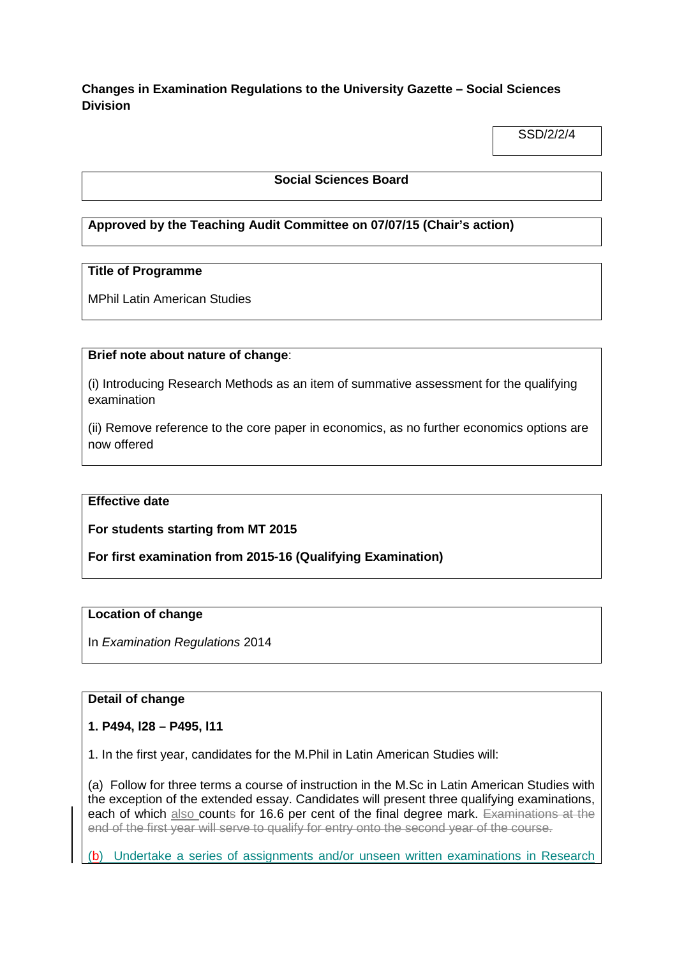# **Changes in Examination Regulations to the University Gazette – Social Sciences Division**

SSD/2/2/4

### **Social Sciences Board**

# **Approved by the Teaching Audit Committee on 07/07/15 (Chair's action)**

### **Title of Programme**

MPhil Latin American Studies

### **Brief note about nature of change**:

(i) Introducing Research Methods as an item of summative assessment for the qualifying examination

(ii) Remove reference to the core paper in economics, as no further economics options are now offered

#### **Effective date**

**For students starting from MT 2015**

**For first examination from 2015-16 (Qualifying Examination)**

#### **Location of change**

In *Examination Regulations* 2014

#### **Detail of change**

#### **1. P494, l28 – P495, l11**

1. In the first year, candidates for the M.Phil in Latin American Studies will:

(a) Follow for three terms a course of instruction in the M.Sc in Latin American Studies with the exception of the extended essay. Candidates will present three qualifying examinations, each of which also counts for 16.6 per cent of the final degree mark. Examinations at the end of the first year will serve to qualify for entry onto the second year of the course.

(b) Undertake a series of assignments and/or unseen written examinations in Research